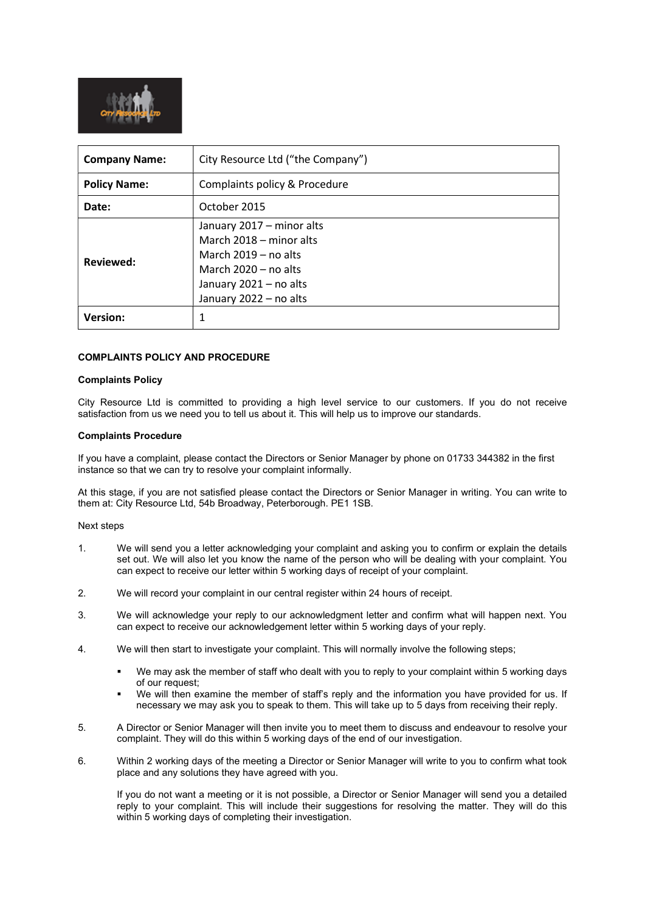

| <b>Company Name:</b> | City Resource Ltd ("the Company")                                                                                                                            |
|----------------------|--------------------------------------------------------------------------------------------------------------------------------------------------------------|
| <b>Policy Name:</b>  | Complaints policy & Procedure                                                                                                                                |
| Date:                | October 2015                                                                                                                                                 |
| Reviewed:            | January 2017 - minor alts<br>March 2018 – minor alts<br>March $2019 - no$ alts<br>March $2020 - no$ alts<br>January 2021 - no alts<br>January 2022 - no alts |
| <b>Version:</b>      | 1                                                                                                                                                            |

## COMPLAINTS POLICY AND PROCEDURE

## Complaints Policy

City Resource Ltd is committed to providing a high level service to our customers. If you do not receive satisfaction from us we need you to tell us about it. This will help us to improve our standards.

## Complaints Procedure

If you have a complaint, please contact the Directors or Senior Manager by phone on 01733 344382 in the first instance so that we can try to resolve your complaint informally.

At this stage, if you are not satisfied please contact the Directors or Senior Manager in writing. You can write to them at: City Resource Ltd, 54b Broadway, Peterborough. PE1 1SB.

## Next steps

- 1. We will send you a letter acknowledging your complaint and asking you to confirm or explain the details set out. We will also let you know the name of the person who will be dealing with your complaint. You can expect to receive our letter within 5 working days of receipt of your complaint.
- 2. We will record your complaint in our central register within 24 hours of receipt.
- 3. We will acknowledge your reply to our acknowledgment letter and confirm what will happen next. You can expect to receive our acknowledgement letter within 5 working days of your reply.
- 4. We will then start to investigate your complaint. This will normally involve the following steps;
	- We may ask the member of staff who dealt with you to reply to your complaint within 5 working days of our request;
	- We will then examine the member of staff's reply and the information you have provided for us. If necessary we may ask you to speak to them. This will take up to 5 days from receiving their reply.
- 5. A Director or Senior Manager will then invite you to meet them to discuss and endeavour to resolve your complaint. They will do this within 5 working days of the end of our investigation.
- 6. Within 2 working days of the meeting a Director or Senior Manager will write to you to confirm what took place and any solutions they have agreed with you.

If you do not want a meeting or it is not possible, a Director or Senior Manager will send you a detailed reply to your complaint. This will include their suggestions for resolving the matter. They will do this within 5 working days of completing their investigation.